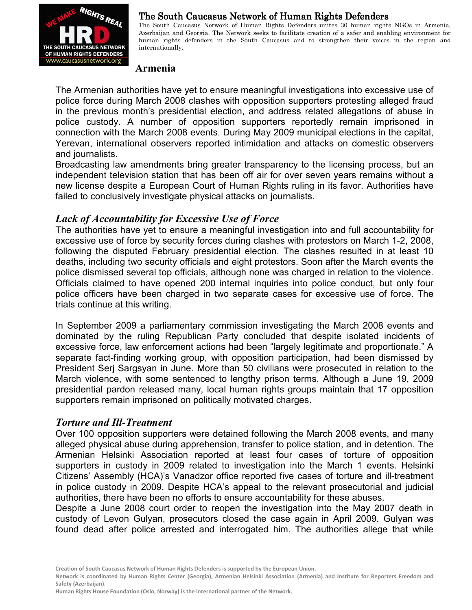

## The South Caucasus Network of Human Rights Defenders Defenders

The South Caucasus Network of Human Rights Defenders unites 30 human rights NGOs in Armenia, The South Caucasus Network of Human Rights Defenders unites 30 human rights NGOs in Armenia,<br>Azerbaijan and Georgia. The Network seeks to facilitate creation of a safer and enabling environment for human rights defenders in the South Caucasus and to strengthen their voices in the region and internationally.

## **Armenia**

The Armenian authorities have yet to ensure meaningful investigations into excessive use of police force during March 2008 clashes with opposition supporters protesting alleged fraud in the previous month's presidential election, and address related allegations of abuse in police custody. A number of opposition supporters reportedly remain imprisoned in connection with the March 2008 events. During May 2009 municipal elections in the capital, Yerevan, international observers reported intimidation and attacks on domestic observers and journalists. ction, and address related allegations of abuse in<br>ion supporters reportedly remain imprisoned in<br>During May 2009 municipal elections in the capital,<br>ed intimidation and attacks on domestic observers<br>eater transparency to

Broadcasting law amendments bring greater transparency to the licensing independent television station that has been off air for over seven years remains without a new license despite a European Court of Human Rights ruling in its favor. Authorities have failed to conclusively investigate physical attacks on journalists. new license despite a European Court of Human Rights ruling in its favor. Authorities have<br>failed to conclusively investigate physical attacks on journalists.<br>*Lack of Accountability for Excessive Use of Force*<br>The authori

# *Lack of Accountability for Excessive Use of Force Use Force*

The authorities have yet to ensure a meaningful investigation into and full accountability for<br>excessive use of force by security forces during clashes with protestors on March 1-2, 2008, following the disputed February presidential election. The clashes resulted in at least 10 deaths, including two security officials and eight protestors. Soon after the March events the police dismissed several top officials, although none was charged in relation to the violence. Officials claimed to have opened 200 internal inquiries into police conduct, but only four police officers have been charged in two separate cases for excessive use of trials continue at this writing. police dismissed several top officials, although none was charged in relation to the<br>Officials claimed to have opened 200 internal inquiries into police conduct, but<br>police officers have been charged in two separate cases after the March events the<br>in relation to the violence.<br>ice conduct, but only four<br>cessive use of force. The

In September 2009 a parliamentary commission investigating the March 2008 events and dominated by the ruling Republican Party concluded that despite isolated incidents of dominated by the ruling Republican Party concluded that despite isolated incidents of<br>excessive force, law enforcement actions had been "largely legitimate and proportionate." A separate fact-finding working group, with opposition participation, had been dismissed by President Serj Sargsyan in June. More than 50 civilians were prosecuted in relation to the March violence, with some sentenced to lengthy prison terms. Although a June 19, 2009 presidential pardon released many, local human rights groups maintain that 17 opposition supporters remain imprisoned on politically motivated charges. is violence, with some sentenced to lengthy prison terms. Although a June 19, 2009<br>Jential pardon released many, local human rights groups maintain that 17 opposition<br>orters remain imprisoned on politically motivated charg legitimate and proportionate." A<br>pation, had been dismissed by<br>rre prosecuted in relation to the<br>ms. Although a June 19, 2009<br>ups maintain that 17 opposition<br>s.<br>March 2008 events, and many

## *Torture and Ill-Treatment*

Over 100 opposition supporters were detained following the March 2008 events, alleged physical abuse during apprehension, transfer to police station, and in detention. The Armenian Helsinki Association reported at least four cases of torture of opposition supporters in custody in 2009 related to investigation into the March 1 events. Helsinki Citizens' Assembly (HCA)'s Vanadzor office reported five cases of torture and ill-treatment Citizens' Assembly (HCA)'s Vanadzor office reported five cases of torture and ill-treatment<br>in police custody in 2009. Despite HCA's appeal to the relevant prosecutorial and judicial in police custody in 2009. Despite HCA's appeal to the relevant prosecutorial a<br>authorities, there have been no efforts to ensure accountability for these abuses.

Despite a June 2008 court order to reopen the investigation into the May 2007 death in custody of Levon Gulyan, prosecutors closed the case again in April 2009. Gulyan was custody of Levon Gulyan, prosecutors closed the case again in April 2009. Gulyan was<br>found dead after police arrested and interrogated him. The authorities allege that while

**Creation of South Caucasus Network of Human Rights Defenders is supported by the Eu European Union.** 

Network is coordinated by Human Rights Center (Georgia), Armenian Helsinki Association (Armenia) and Institute for Reporters Freedom and<br>Safety (Azerbaijan).<br>Human Rights House Foundation (Oslo, Norway) is the internationa **Safety (Azerbaijan).**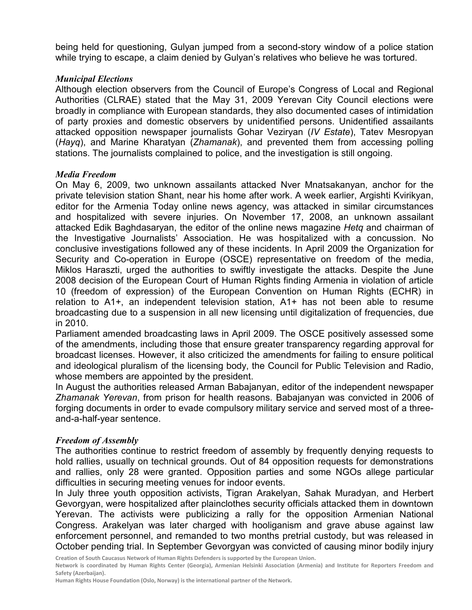being held for questioning, Gulyan jumped from a second-story window of a police station while trying to escape, a claim denied by Gulyan's relatives who believe he was tortured.

#### *Municipal Elections*

Although election observers from the Council of Europe's Congress of Local and Regional Authorities (CLRAE) stated that the May 31, 2009 Yerevan City Council elections were broadly in compliance with European standards, they also documented cases of intimidation of party proxies and domestic observers by unidentified persons. Unidentified assailants attacked opposition newspaper journalists Gohar Veziryan (*IV Estate*), Tatev Mesropyan (*Hayq*), and Marine Kharatyan (*Zhamanak*), and prevented them from accessing polling stations. The journalists complained to police, and the investigation is still ongoing.

#### *Media Freedom*

On May 6, 2009, two unknown assailants attacked Nver Mnatsakanyan, anchor for the private television station Shant, near his home after work. A week earlier, Argishti Kvirikyan, editor for the Armenia Today online news agency, was attacked in similar circumstances and hospitalized with severe injuries. On November 17, 2008, an unknown assailant attacked Edik Baghdasaryan, the editor of the online news magazine *Hetq* and chairman of the Investigative Journalists' Association. He was hospitalized with a concussion. No conclusive investigations followed any of these incidents. In April 2009 the Organization for Security and Co-operation in Europe (OSCE) representative on freedom of the media, Miklos Haraszti, urged the authorities to swiftly investigate the attacks. Despite the June 2008 decision of the European Court of Human Rights finding Armenia in violation of article 10 (freedom of expression) of the European Convention on Human Rights (ECHR) in relation to A1+, an independent television station, A1+ has not been able to resume broadcasting due to a suspension in all new licensing until digitalization of frequencies, due in 2010.

Parliament amended broadcasting laws in April 2009. The OSCE positively assessed some of the amendments, including those that ensure greater transparency regarding approval for broadcast licenses. However, it also criticized the amendments for failing to ensure political and ideological pluralism of the licensing body, the Council for Public Television and Radio, whose members are appointed by the president.

In August the authorities released Arman Babajanyan, editor of the independent newspaper *Zhamanak Yerevan*, from prison for health reasons. Babajanyan was convicted in 2006 of forging documents in order to evade compulsory military service and served most of a threeand-a-half-year sentence.

### *Freedom of Assembly*

The authorities continue to restrict freedom of assembly by frequently denying requests to hold rallies, usually on technical grounds. Out of 84 opposition requests for demonstrations and rallies, only 28 were granted. Opposition parties and some NGOs allege particular difficulties in securing meeting venues for indoor events.

In July three youth opposition activists, Tigran Arakelyan, Sahak Muradyan, and Herbert Gevorgyan, were hospitalized after plainclothes security officials attacked them in downtown Yerevan. The activists were publicizing a rally for the opposition Armenian National Congress. Arakelyan was later charged with hooliganism and grave abuse against law enforcement personnel, and remanded to two months pretrial custody, but was released in October pending trial. In September Gevorgyan was convicted of causing minor bodily injury

**Creation of South Caucasus Network of Human Rights Defenders is supported by the European Union.** 

**Network is coordinated by Human Rights Center (Georgia), Armenian Helsinki Association (Armenia) and Institute for Reporters Freedom and Safety (Azerbaijan).**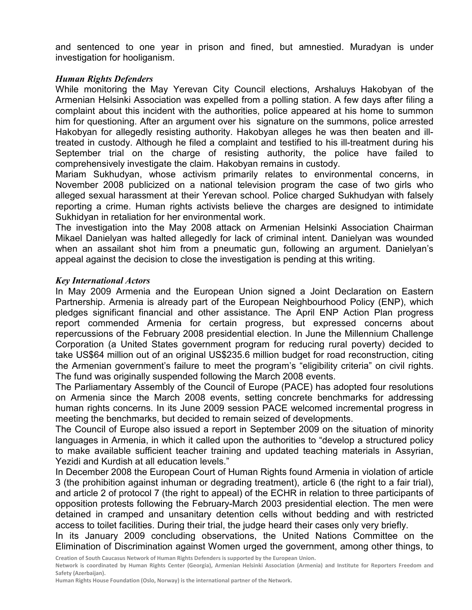and sentenced to one year in prison and fined, but amnestied. Muradyan is under investigation for hooliganism.

#### *Human Rights Defenders*

While monitoring the May Yerevan City Council elections, Arshaluys Hakobyan of the Armenian Helsinki Association was expelled from a polling station. A few days after filing a complaint about this incident with the authorities, police appeared at his home to summon him for questioning. After an argument over his signature on the summons, police arrested Hakobyan for allegedly resisting authority. Hakobyan alleges he was then beaten and illtreated in custody. Although he filed a complaint and testified to his ill-treatment during his September trial on the charge of resisting authority, the police have failed to comprehensively investigate the claim. Hakobyan remains in custody.

Mariam Sukhudyan, whose activism primarily relates to environmental concerns, in November 2008 publicized on a national television program the case of two girls who alleged sexual harassment at their Yerevan school. Police charged Sukhudyan with falsely reporting a crime. Human rights activists believe the charges are designed to intimidate Sukhidyan in retaliation for her environmental work.

The investigation into the May 2008 attack on Armenian Helsinki Association Chairman Mikael Danielyan was halted allegedly for lack of criminal intent. Danielyan was wounded when an assailant shot him from a pneumatic gun, following an argument. Danielyan's appeal against the decision to close the investigation is pending at this writing.

#### *Key International Actors*

In May 2009 Armenia and the European Union signed a Joint Declaration on Eastern Partnership. Armenia is already part of the European Neighbourhood Policy (ENP), which pledges significant financial and other assistance. The April ENP Action Plan progress report commended Armenia for certain progress, but expressed concerns about repercussions of the February 2008 presidential election. In June the Millennium Challenge Corporation (a United States government program for reducing rural poverty) decided to take US\$64 million out of an original US\$235.6 million budget for road reconstruction, citing the Armenian government's failure to meet the program's "eligibility criteria" on civil rights. The fund was originally suspended following the March 2008 events.

The Parliamentary Assembly of the Council of Europe (PACE) has adopted four resolutions on Armenia since the March 2008 events, setting concrete benchmarks for addressing human rights concerns. In its June 2009 session PACE welcomed incremental progress in meeting the benchmarks, but decided to remain seized of developments.

The Council of Europe also issued a report in September 2009 on the situation of minority languages in Armenia, in which it called upon the authorities to "develop a structured policy to make available sufficient teacher training and updated teaching materials in Assyrian, Yezidi and Kurdish at all education levels."

In December 2008 the European Court of Human Rights found Armenia in violation of article 3 (the prohibition against inhuman or degrading treatment), article 6 (the right to a fair trial), and article 2 of protocol 7 (the right to appeal) of the ECHR in relation to three participants of opposition protests following the February-March 2003 presidential election. The men were detained in cramped and unsanitary detention cells without bedding and with restricted access to toilet facilities. During their trial, the judge heard their cases only very briefly.

In its January 2009 concluding observations, the United Nations Committee on the Elimination of Discrimination against Women urged the government, among other things, to

**Creation of South Caucasus Network of Human Rights Defenders is supported by the European Union.** 

**Network is coordinated by Human Rights Center (Georgia), Armenian Helsinki Association (Armenia) and Institute for Reporters Freedom and Safety (Azerbaijan).** 

**Human Rights House Foundation (Oslo, Norway) is the international partner of the Network.**